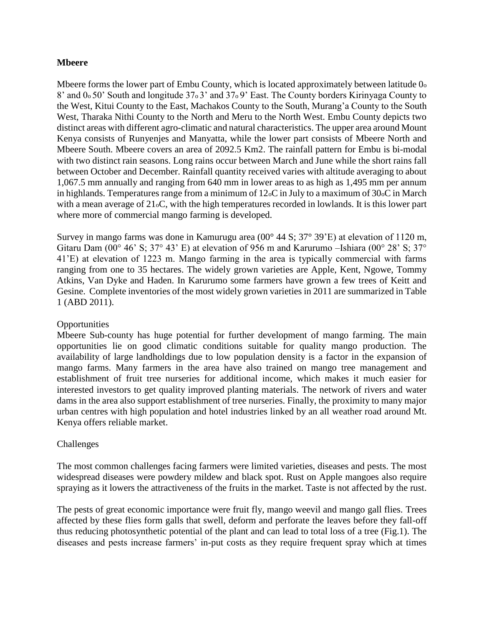## **Mbeere**

Mbeere forms the lower part of Embu County, which is located approximately between latitude 0<sup>o</sup> 8' and 0<sub>0</sub> 50' South and longitude 37<sub>0</sub> 3' and 37<sub>0</sub> 9' East. The County borders Kirinyaga County to the West, Kitui County to the East, Machakos County to the South, Murang'a County to the South West, Tharaka Nithi County to the North and Meru to the North West. Embu County depicts two distinct areas with different agro-climatic and natural characteristics. The upper area around Mount Kenya consists of Runyenjes and Manyatta, while the lower part consists of Mbeere North and Mbeere South. Mbeere covers an area of 2092.5 Km2. The rainfall pattern for Embu is bi-modal with two distinct rain seasons. Long rains occur between March and June while the short rains fall between October and December. Rainfall quantity received varies with altitude averaging to about 1,067.5 mm annually and ranging from 640 mm in lower areas to as high as 1,495 mm per annum in highlands. Temperatures range from a minimum of 12oC in July to a maximum of 30oC in March with a mean average of  $21\text{oC}$ , with the high temperatures recorded in lowlands. It is this lower part where more of commercial mango farming is developed.

Survey in mango farms was done in Kamurugu area (00° 44 S; 37° 39'E) at elevation of 1120 m, Gitaru Dam (00 $^{\circ}$  46' S; 37 $^{\circ}$  43' E) at elevation of 956 m and Karurumo –Ishiara (00 $^{\circ}$  28' S; 37 $^{\circ}$ ) 41'E) at elevation of 1223 m. Mango farming in the area is typically commercial with farms ranging from one to 35 hectares. The widely grown varieties are Apple, Kent, Ngowe, Tommy Atkins, Van Dyke and Haden. In Karurumo some farmers have grown a few trees of Keitt and Gesine. Complete inventories of the most widely grown varieties in 2011 are summarized in Table 1 (ABD 2011).

## **Opportunities**

Mbeere Sub-county has huge potential for further development of mango farming. The main opportunities lie on good climatic conditions suitable for quality mango production. The availability of large landholdings due to low population density is a factor in the expansion of mango farms. Many farmers in the area have also trained on mango tree management and establishment of fruit tree nurseries for additional income, which makes it much easier for interested investors to get quality improved planting materials. The network of rivers and water dams in the area also support establishment of tree nurseries. Finally, the proximity to many major urban centres with high population and hotel industries linked by an all weather road around Mt. Kenya offers reliable market.

## Challenges

The most common challenges facing farmers were limited varieties, diseases and pests. The most widespread diseases were powdery mildew and black spot. Rust on Apple mangoes also require spraying as it lowers the attractiveness of the fruits in the market. Taste is not affected by the rust.

The pests of great economic importance were fruit fly, mango weevil and mango gall flies. Trees affected by these flies form galls that swell, deform and perforate the leaves before they fall-off thus reducing photosynthetic potential of the plant and can lead to total loss of a tree (Fig.1). The diseases and pests increase farmers' in-put costs as they require frequent spray which at times